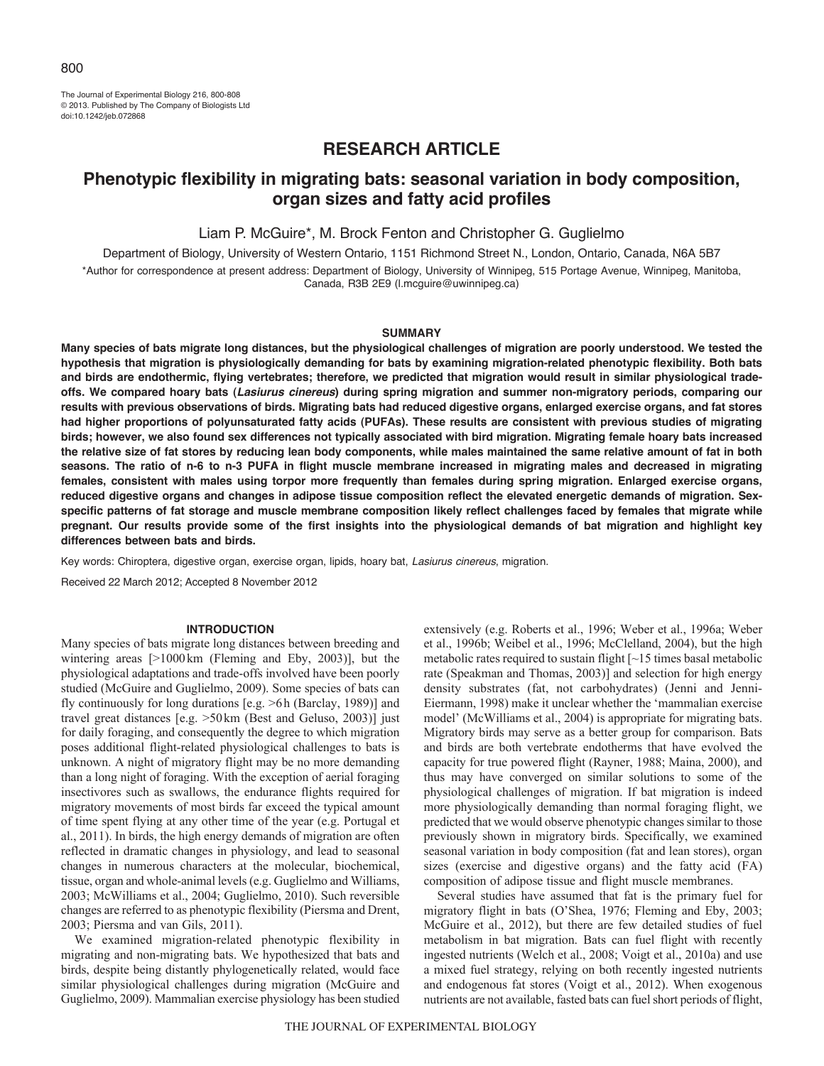The Journal of Experimental Biology 216, 800-808 © 2013. Published by The Company of Biologists Ltd doi:10.1242/jeb.072868

# **RESEARCH ARTICLE**

# **Phenotypic flexibility in migrating bats: seasonal variation in body composition, organ sizes and fatty acid profiles**

Liam P. McGuire\*, M. Brock Fenton and Christopher G. Guglielmo

Department of Biology, University of Western Ontario, 1151 Richmond Street N., London, Ontario, Canada, N6A 5B7 \*Author for correspondence at present address: Department of Biology, University of Winnipeg, 515 Portage Avenue, Winnipeg, Manitoba, Canada, R3B 2E9 (l.mcguire@uwinnipeg.ca)

## **SUMMARY**

**Many species of bats migrate long distances, but the physiological challenges of migration are poorly understood. We tested the hypothesis that migration is physiologically demanding for bats by examining migration-related phenotypic flexibility. Both bats and birds are endothermic, flying vertebrates; therefore, we predicted that migration would result in similar physiological tradeoffs. We compared hoary bats (***Lasiurus cinereus***) during spring migration and summer non-migratory periods, comparing our results with previous observations of birds. Migrating bats had reduced digestive organs, enlarged exercise organs, and fat stores had higher proportions of polyunsaturated fatty acids (PUFAs). These results are consistent with previous studies of migrating birds; however, we also found sex differences not typically associated with bird migration. Migrating female hoary bats increased the relative size of fat stores by reducing lean body components, while males maintained the same relative amount of fat in both seasons. The ratio of n-6 to n-3 PUFA in flight muscle membrane increased in migrating males and decreased in migrating females, consistent with males using torpor more frequently than females during spring migration. Enlarged exercise organs, reduced digestive organs and changes in adipose tissue composition reflect the elevated energetic demands of migration. Sexspecific patterns of fat storage and muscle membrane composition likely reflect challenges faced by females that migrate while pregnant. Our results provide some of the first insights into the physiological demands of bat migration and highlight key differences between bats and birds.**

Key words: Chiroptera, digestive organ, exercise organ, lipids, hoary bat, *Lasiurus cinereus*, migration.

Received 22 March 2012; Accepted 8 November 2012

#### **INTRODUCTION**

Many species of bats migrate long distances between breeding and wintering areas [>1000km (Fleming and Eby, 2003)], but the physiological adaptations and trade-offs involved have been poorly studied (McGuire and Guglielmo, 2009). Some species of bats can fly continuously for long durations [e.g. >6h (Barclay, 1989)] and travel great distances [e.g. >50km (Best and Geluso, 2003)] just for daily foraging, and consequently the degree to which migration poses additional flight-related physiological challenges to bats is unknown. A night of migratory flight may be no more demanding than a long night of foraging. With the exception of aerial foraging insectivores such as swallows, the endurance flights required for migratory movements of most birds far exceed the typical amount of time spent flying at any other time of the year (e.g. Portugal et al., 2011). In birds, the high energy demands of migration are often reflected in dramatic changes in physiology, and lead to seasonal changes in numerous characters at the molecular, biochemical, tissue, organ and whole-animal levels (e.g. Guglielmo and Williams, 2003; McWilliams et al., 2004; Guglielmo, 2010). Such reversible changes are referred to as phenotypic flexibility (Piersma and Drent, 2003; Piersma and van Gils, 2011).

We examined migration-related phenotypic flexibility in migrating and non-migrating bats. We hypothesized that bats and birds, despite being distantly phylogenetically related, would face similar physiological challenges during migration (McGuire and Guglielmo, 2009). Mammalian exercise physiology has been studied extensively (e.g. Roberts et al., 1996; Weber et al., 1996a; Weber et al., 1996b; Weibel et al., 1996; McClelland, 2004), but the high metabolic rates required to sustain flight [~15 times basal metabolic rate (Speakman and Thomas, 2003)] and selection for high energy density substrates (fat, not carbohydrates) (Jenni and Jenni-Eiermann, 1998) make it unclear whether the 'mammalian exercise model' (McWilliams et al., 2004) is appropriate for migrating bats. Migratory birds may serve as a better group for comparison. Bats and birds are both vertebrate endotherms that have evolved the capacity for true powered flight (Rayner, 1988; Maina, 2000), and thus may have converged on similar solutions to some of the physiological challenges of migration. If bat migration is indeed more physiologically demanding than normal foraging flight, we predicted that we would observe phenotypic changes similar to those previously shown in migratory birds. Specifically, we examined seasonal variation in body composition (fat and lean stores), organ sizes (exercise and digestive organs) and the fatty acid (FA) composition of adipose tissue and flight muscle membranes.

Several studies have assumed that fat is the primary fuel for migratory flight in bats (O'Shea, 1976; Fleming and Eby, 2003; McGuire et al., 2012), but there are few detailed studies of fuel metabolism in bat migration. Bats can fuel flight with recently ingested nutrients (Welch et al., 2008; Voigt et al., 2010a) and use a mixed fuel strategy, relying on both recently ingested nutrients and endogenous fat stores (Voigt et al., 2012). When exogenous nutrients are not available, fasted bats can fuel short periods of flight,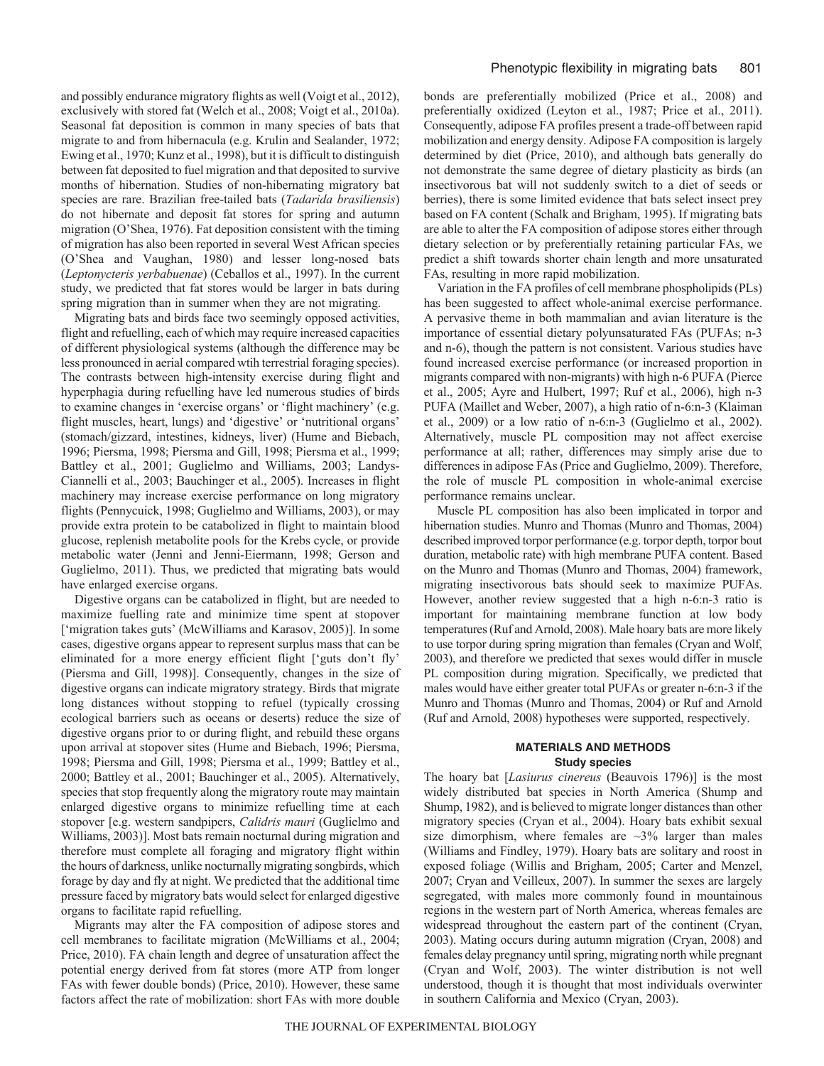and possibly endurance migratory flights as well (Voigt et al., 2012), exclusively with stored fat (Welch et al., 2008; Voigt et al., 2010a). Seasonal fat deposition is common in many species of bats that migrate to and from hibernacula (e.g. Krulin and Sealander, 1972; Ewing et al., 1970; Kunz et al., 1998), but it is difficult to distinguish between fat deposited to fuel migration and that deposited to survive months of hibernation. Studies of non-hibernating migratory bat species are rare. Brazilian free-tailed bats (*Tadarida brasiliensis*) do not hibernate and deposit fat stores for spring and autumn migration (O'Shea, 1976). Fat deposition consistent with the timing of migration has also been reported in several West African species (O'Shea and Vaughan, 1980) and lesser long-nosed bats (*Leptonycteris yerbabuenae*) (Ceballos et al., 1997). In the current study, we predicted that fat stores would be larger in bats during spring migration than in summer when they are not migrating.

Migrating bats and birds face two seemingly opposed activities, flight and refuelling, each of which may require increased capacities of different physiological systems (although the difference may be less pronounced in aerial compared wtih terrestrial foraging species). The contrasts between high-intensity exercise during flight and hyperphagia during refuelling have led numerous studies of birds to examine changes in 'exercise organs' or 'flight machinery' (e.g. flight muscles, heart, lungs) and 'digestive' or 'nutritional organs' (stomach/gizzard, intestines, kidneys, liver) (Hume and Biebach, 1996; Piersma, 1998; Piersma and Gill, 1998; Piersma et al., 1999; Battley et al., 2001; Guglielmo and Williams, 2003; Landys-Ciannelli et al., 2003; Bauchinger et al., 2005). Increases in flight machinery may increase exercise performance on long migratory flights (Pennycuick, 1998; Guglielmo and Williams, 2003), or may provide extra protein to be catabolized in flight to maintain blood glucose, replenish metabolite pools for the Krebs cycle, or provide metabolic water (Jenni and Jenni-Eiermann, 1998; Gerson and Guglielmo, 2011). Thus, we predicted that migrating bats would have enlarged exercise organs.

Digestive organs can be catabolized in flight, but are needed to maximize fuelling rate and minimize time spent at stopover ['migration takes guts' (McWilliams and Karasov, 2005)]. In some cases, digestive organs appear to represent surplus mass that can be eliminated for a more energy efficient flight ['guts don't fly' (Piersma and Gill, 1998)]. Consequently, changes in the size of digestive organs can indicate migratory strategy. Birds that migrate long distances without stopping to refuel (typically crossing ecological barriers such as oceans or deserts) reduce the size of digestive organs prior to or during flight, and rebuild these organs upon arrival at stopover sites (Hume and Biebach, 1996; Piersma, 1998; Piersma and Gill, 1998; Piersma et al., 1999; Battley et al., 2000; Battley et al., 2001; Bauchinger et al., 2005). Alternatively, species that stop frequently along the migratory route may maintain enlarged digestive organs to minimize refuelling time at each stopover [e.g. western sandpipers, *Calidris mauri* (Guglielmo and Williams, 2003)]. Most bats remain nocturnal during migration and therefore must complete all foraging and migratory flight within the hours of darkness, unlike nocturnally migrating songbirds, which forage by day and fly at night. We predicted that the additional time pressure faced by migratory bats would select for enlarged digestive organs to facilitate rapid refuelling.

Migrants may alter the FA composition of adipose stores and cell membranes to facilitate migration (McWilliams et al., 2004; Price, 2010). FA chain length and degree of unsaturation affect the potential energy derived from fat stores (more ATP from longer FAs with fewer double bonds) (Price, 2010). However, these same factors affect the rate of mobilization: short FAs with more double bonds are preferentially mobilized (Price et al., 2008) and preferentially oxidized (Leyton et al., 1987; Price et al., 2011). Consequently, adipose FA profiles present a trade-off between rapid mobilization and energy density. Adipose FA composition is largely determined by diet (Price, 2010), and although bats generally do not demonstrate the same degree of dietary plasticity as birds (an insectivorous bat will not suddenly switch to a diet of seeds or berries), there is some limited evidence that bats select insect prey based on FA content (Schalk and Brigham, 1995). If migrating bats are able to alter the FA composition of adipose stores either through dietary selection or by preferentially retaining particular FAs, we predict a shift towards shorter chain length and more unsaturated FAs, resulting in more rapid mobilization.

Variation in the FA profiles of cell membrane phospholipids (PLs) has been suggested to affect whole-animal exercise performance. A pervasive theme in both mammalian and avian literature is the importance of essential dietary polyunsaturated FAs (PUFAs; n-3 and n-6), though the pattern is not consistent. Various studies have found increased exercise performance (or increased proportion in migrants compared with non-migrants) with high n-6 PUFA (Pierce et al., 2005; Ayre and Hulbert, 1997; Ruf et al., 2006), high n-3 PUFA (Maillet and Weber, 2007), a high ratio of n-6:n-3 (Klaiman et al., 2009) or a low ratio of n-6:n-3 (Guglielmo et al., 2002). Alternatively, muscle PL composition may not affect exercise performance at all; rather, differences may simply arise due to differences in adipose FAs (Price and Guglielmo, 2009). Therefore, the role of muscle PL composition in whole-animal exercise performance remains unclear.

Muscle PL composition has also been implicated in torpor and hibernation studies. Munro and Thomas (Munro and Thomas, 2004) described improved torpor performance (e.g. torpor depth, torpor bout duration, metabolic rate) with high membrane PUFA content. Based on the Munro and Thomas (Munro and Thomas, 2004) framework, migrating insectivorous bats should seek to maximize PUFAs. However, another review suggested that a high n-6:n-3 ratio is important for maintaining membrane function at low body temperatures (Ruf and Arnold, 2008). Male hoary bats are more likely to use torpor during spring migration than females (Cryan and Wolf, 2003), and therefore we predicted that sexes would differ in muscle PL composition during migration. Specifically, we predicted that males would have either greater total PUFAs or greater n-6:n-3 if the Munro and Thomas (Munro and Thomas, 2004) or Ruf and Arnold (Ruf and Arnold, 2008) hypotheses were supported, respectively.

## **MATERIALS AND METHODS Study species**

The hoary bat [*Lasiurus cinereus* (Beauvois 1796)] is the most widely distributed bat species in North America (Shump and Shump, 1982), and is believed to migrate longer distances than other migratory species (Cryan et al., 2004). Hoary bats exhibit sexual size dimorphism, where females are  $~5\%$  larger than males (Williams and Findley, 1979). Hoary bats are solitary and roost in exposed foliage (Willis and Brigham, 2005; Carter and Menzel, 2007; Cryan and Veilleux, 2007). In summer the sexes are largely segregated, with males more commonly found in mountainous regions in the western part of North America, whereas females are widespread throughout the eastern part of the continent (Cryan, 2003). Mating occurs during autumn migration (Cryan, 2008) and females delay pregnancy until spring, migrating north while pregnant (Cryan and Wolf, 2003). The winter distribution is not well understood, though it is thought that most individuals overwinter in southern California and Mexico (Cryan, 2003).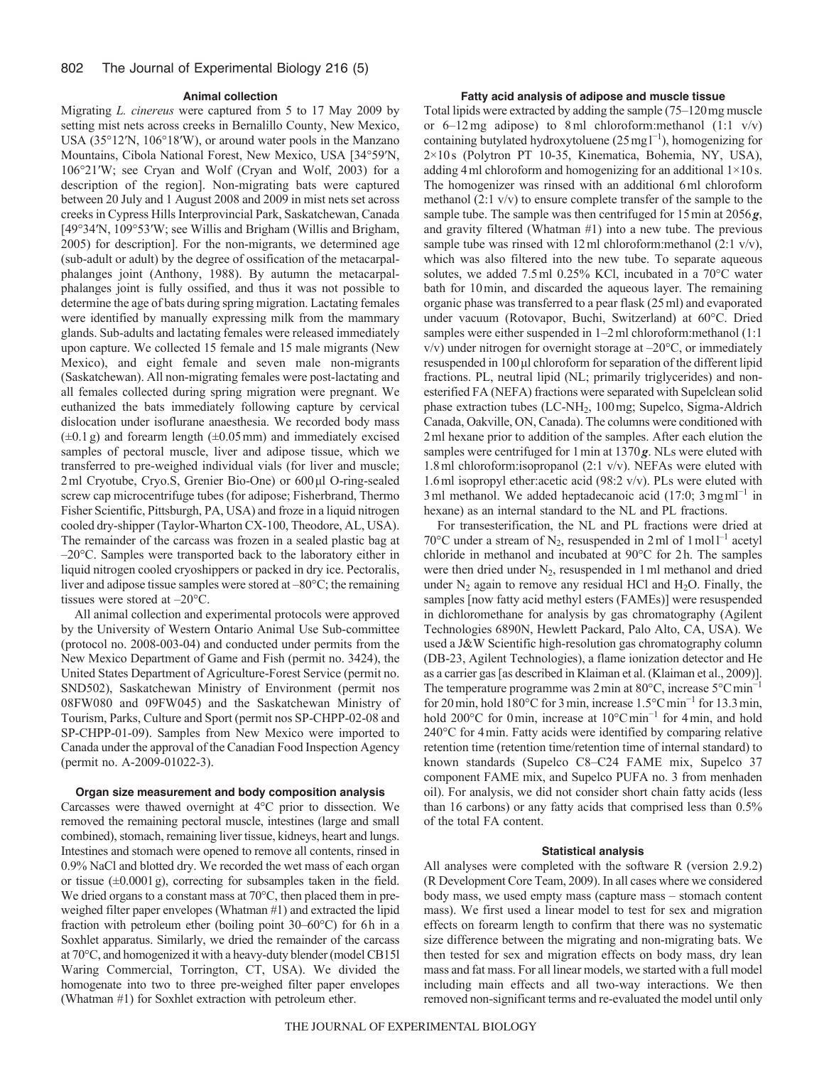## **Animal collection**

Migrating *L. cinereus* were captured from 5 to 17 May 2009 by setting mist nets across creeks in Bernalillo County, New Mexico, USA (35°12′N, 106°18′W), or around water pools in the Manzano Mountains, Cibola National Forest, New Mexico, USA [34°59′N, 106°21′W; see Cryan and Wolf (Cryan and Wolf, 2003) for a description of the region]. Non-migrating bats were captured between 20 July and 1 August 2008 and 2009 in mist nets set across creeks in Cypress Hills Interprovincial Park, Saskatchewan, Canada [49°34′N, 109°53′W; see Willis and Brigham (Willis and Brigham, 2005) for description]. For the non-migrants, we determined age (sub-adult or adult) by the degree of ossification of the metacarpalphalanges joint (Anthony, 1988). By autumn the metacarpalphalanges joint is fully ossified, and thus it was not possible to determine the age of bats during spring migration. Lactating females were identified by manually expressing milk from the mammary glands. Sub-adults and lactating females were released immediately upon capture. We collected 15 female and 15 male migrants (New Mexico), and eight female and seven male non-migrants (Saskatchewan). All non-migrating females were post-lactating and all females collected during spring migration were pregnant. We euthanized the bats immediately following capture by cervical dislocation under isoflurane anaesthesia. We recorded body mass  $(\pm 0.1 \text{ g})$  and forearm length  $(\pm 0.05 \text{ mm})$  and immediately excised samples of pectoral muscle, liver and adipose tissue, which we transferred to pre-weighed individual vials (for liver and muscle; 2ml Cryotube, Cryo.S, Grenier Bio-One) or 600μl O-ring-sealed screw cap microcentrifuge tubes (for adipose; Fisherbrand, Thermo Fisher Scientific, Pittsburgh, PA, USA) and froze in a liquid nitrogen cooled dry-shipper (Taylor-Wharton CX-100, Theodore, AL, USA). The remainder of the carcass was frozen in a sealed plastic bag at –20°C. Samples were transported back to the laboratory either in liquid nitrogen cooled cryoshippers or packed in dry ice. Pectoralis, liver and adipose tissue samples were stored at –80°C; the remaining tissues were stored at –20°C.

All animal collection and experimental protocols were approved by the University of Western Ontario Animal Use Sub-committee (protocol no. 2008-003-04) and conducted under permits from the New Mexico Department of Game and Fish (permit no. 3424), the United States Department of Agriculture-Forest Service (permit no. SND502), Saskatchewan Ministry of Environment (permit nos 08FW080 and 09FW045) and the Saskatchewan Ministry of Tourism, Parks, Culture and Sport (permit nos SP-CHPP-02-08 and SP-CHPP-01-09). Samples from New Mexico were imported to Canada under the approval of the Canadian Food Inspection Agency (permit no. A-2009-01022-3).

# **Organ size measurement and body composition analysis**

Carcasses were thawed overnight at 4°C prior to dissection. We removed the remaining pectoral muscle, intestines (large and small combined), stomach, remaining liver tissue, kidneys, heart and lungs. Intestines and stomach were opened to remove all contents, rinsed in 0.9% NaCl and blotted dry. We recorded the wet mass of each organ or tissue  $(\pm 0.0001 \text{ g})$ , correcting for subsamples taken in the field. We dried organs to a constant mass at 70°C, then placed them in preweighed filter paper envelopes (Whatman #1) and extracted the lipid fraction with petroleum ether (boiling point 30–60°C) for 6h in a Soxhlet apparatus. Similarly, we dried the remainder of the carcass at 70°C, and homogenized it with a heavy-duty blender (model CB15l Waring Commercial, Torrington, CT, USA). We divided the homogenate into two to three pre-weighed filter paper envelopes (Whatman #1) for Soxhlet extraction with petroleum ether.

# **Fatty acid analysis of adipose and muscle tissue**

Total lipids were extracted by adding the sample (75–120mg muscle or 6–12 mg adipose) to 8 ml chloroform: methanol  $(1:1 \text{ v/v})$ containing butylated hydroxytoluene  $(25 \text{ mg}^{-1})$ , homogenizing for 2×10s (Polytron PT 10-35, Kinematica, Bohemia, NY, USA), adding 4 ml chloroform and homogenizing for an additional  $1\times10$  s. The homogenizer was rinsed with an additional 6ml chloroform methanol (2:1 v/v) to ensure complete transfer of the sample to the sample tube. The sample was then centrifuged for 15min at 2056*g*, and gravity filtered (Whatman #1) into a new tube. The previous sample tube was rinsed with 12 ml chloroform:methanol (2:1 v/v), which was also filtered into the new tube. To separate aqueous solutes, we added 7.5ml 0.25% KCl, incubated in a 70°C water bath for 10min, and discarded the aqueous layer. The remaining organic phase was transferred to a pear flask (25ml) and evaporated under vacuum (Rotovapor, Buchi, Switzerland) at 60°C. Dried samples were either suspended in 1–2 ml chloroform: methanol (1:1)  $v/v$ ) under nitrogen for overnight storage at  $-20^{\circ}$ C, or immediately resuspended in 100μl chloroform for separation of the different lipid fractions. PL, neutral lipid (NL; primarily triglycerides) and nonesterified FA (NEFA) fractions were separated with Supelclean solid phase extraction tubes (LC-NH2, 100mg; Supelco, Sigma-Aldrich Canada, Oakville, ON, Canada). The columns were conditioned with 2ml hexane prior to addition of the samples. After each elution the samples were centrifuged for 1min at 1370*g*. NLs were eluted with 1.8ml chloroform:isopropanol (2:1 v/v). NEFAs were eluted with 1.6ml isopropyl ether:acetic acid (98:2 v/v). PLs were eluted with 3ml methanol. We added heptadecanoic acid (17:0; 3mgml<sup>-1</sup> in hexane) as an internal standard to the NL and PL fractions.

For transesterification, the NL and PL fractions were dried at 70 $\degree$ C under a stream of N<sub>2</sub>, resuspended in 2 ml of 1 mol<sup>1-1</sup> acetyl chloride in methanol and incubated at 90°C for 2h. The samples were then dried under  $N_2$ , resuspended in 1 ml methanol and dried under  $N_2$  again to remove any residual HCl and H<sub>2</sub>O. Finally, the samples [now fatty acid methyl esters (FAMEs)] were resuspended in dichloromethane for analysis by gas chromatography (Agilent Technologies 6890N, Hewlett Packard, Palo Alto, CA, USA). We used a J&W Scientific high-resolution gas chromatography column (DB-23, Agilent Technologies), a flame ionization detector and He as a carrier gas [as described in Klaiman et al. (Klaiman et al., 2009)]. The temperature programme was 2min at 80°C, increase 5°C min<sup>-1</sup> for 20min, hold 180°C for 3min, increase 1.5°Cmin<sup>−</sup><sup>1</sup> for 13.3min, hold 200°C for 0min, increase at 10°Cmin−<sup>1</sup> for 4min, and hold 240°C for 4min. Fatty acids were identified by comparing relative retention time (retention time/retention time of internal standard) to known standards (Supelco C8–C24 FAME mix, Supelco 37 component FAME mix, and Supelco PUFA no. 3 from menhaden oil). For analysis, we did not consider short chain fatty acids (less than 16 carbons) or any fatty acids that comprised less than 0.5% of the total FA content.

#### **Statistical analysis**

All analyses were completed with the software R (version 2.9.2) (R Development Core Team, 2009). In all cases where we considered body mass, we used empty mass (capture mass – stomach content mass). We first used a linear model to test for sex and migration effects on forearm length to confirm that there was no systematic size difference between the migrating and non-migrating bats. We then tested for sex and migration effects on body mass, dry lean mass and fat mass. For all linear models, we started with a full model including main effects and all two-way interactions. We then removed non-significant terms and re-evaluated the model until only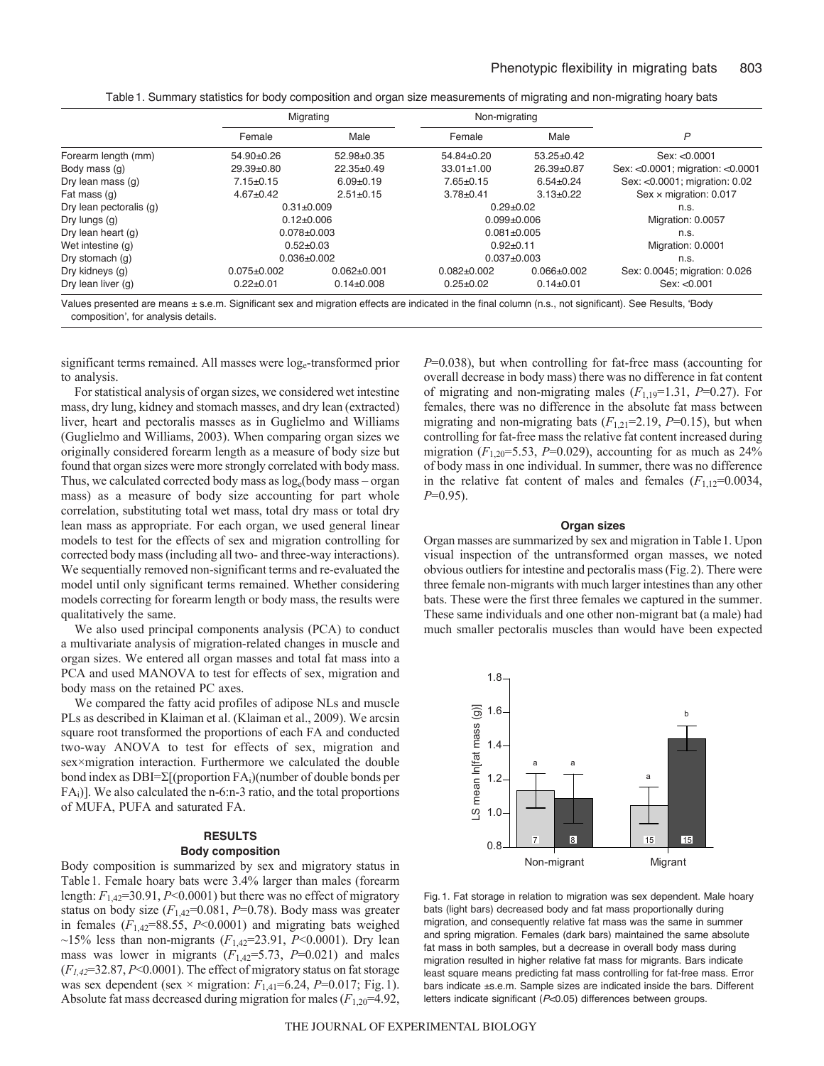Table1. Summary statistics for body composition and organ size measurements of migrating and non-migrating hoary bats

|                                                                                                                                                         | Migrating         |                   | Non-migrating     |                   |                                  |
|---------------------------------------------------------------------------------------------------------------------------------------------------------|-------------------|-------------------|-------------------|-------------------|----------------------------------|
|                                                                                                                                                         | Female            | Male              | Female            | Male              | P                                |
| Forearm length (mm)                                                                                                                                     | 54.90±0.26        | 52.98±0.35        | 54.84±0.20        | $53.25 \pm 0.42$  | Sex: < 0.0001                    |
| Body mass (q)                                                                                                                                           | $29.39 + 0.80$    | $22.35+0.49$      | $33.01 \pm 1.00$  | 26.39±0.87        | Sex: <0.0001; migration: <0.0001 |
| Dry lean mass (g)                                                                                                                                       | $7.15 \pm 0.15$   | $6.09 + 0.19$     | $7.65 + 0.15$     | $6.54 \pm 0.24$   | Sex: <0.0001; migration: 0.02    |
| Fat mass (g)                                                                                                                                            | $4.67 + 0.42$     | $2.51 \pm 0.15$   | $3.78 + 0.41$     | $3.13 \pm 0.22$   | Sex $\times$ migration: 0.017    |
| Dry lean pectoralis (g)                                                                                                                                 | $0.31 \pm 0.009$  |                   | $0.29 + 0.02$     |                   | n.s.                             |
| Dry lungs (g)                                                                                                                                           | $0.12 \pm 0.006$  |                   | $0.099 + 0.006$   |                   | Migration: 0.0057                |
| Dry lean heart (q)                                                                                                                                      | $0.078 + 0.003$   |                   | $0.081 \pm 0.005$ |                   | n.s.                             |
| Wet intestine (q)                                                                                                                                       | $0.52 + 0.03$     |                   | $0.92 + 0.11$     |                   | Migration: 0.0001                |
| Dry stomach (q)                                                                                                                                         | $0.036 + 0.002$   |                   | $0.037 + 0.003$   |                   | n.s.                             |
| Dry kidneys (q)                                                                                                                                         | $0.075 \pm 0.002$ | $0.062 \pm 0.001$ | $0.082 \pm 0.002$ | $0.066 \pm 0.002$ | Sex: 0.0045; migration: 0.026    |
| Dry lean liver (g)                                                                                                                                      | $0.22 + 0.01$     | $0.14 \pm 0.008$  | $0.25 + 0.02$     | $0.14 \pm 0.01$   | Sex: < 0.001                     |
| Values presented are means ± s.e.m. Significant sex and migration effects are indicated in the final column (n.s., not significant). See Results, 'Body |                   |                   |                   |                   |                                  |

composition', for analysis details.

significant terms remained. All masses were loge-transformed prior to analysis.

For statistical analysis of organ sizes, we considered wet intestine mass, dry lung, kidney and stomach masses, and dry lean (extracted) liver, heart and pectoralis masses as in Guglielmo and Williams (Guglielmo and Williams, 2003). When comparing organ sizes we originally considered forearm length as a measure of body size but found that organ sizes were more strongly correlated with body mass. Thus, we calculated corrected body mass as  $log_e(body)$  mass – organ mass) as a measure of body size accounting for part whole correlation, substituting total wet mass, total dry mass or total dry lean mass as appropriate. For each organ, we used general linear models to test for the effects of sex and migration controlling for corrected body mass (including all two- and three-way interactions). We sequentially removed non-significant terms and re-evaluated the model until only significant terms remained. Whether considering models correcting for forearm length or body mass, the results were qualitatively the same.

We also used principal components analysis (PCA) to conduct a multivariate analysis of migration-related changes in muscle and organ sizes. We entered all organ masses and total fat mass into a PCA and used MANOVA to test for effects of sex, migration and body mass on the retained PC axes.

We compared the fatty acid profiles of adipose NLs and muscle PLs as described in Klaiman et al. (Klaiman et al., 2009). We arcsin square root transformed the proportions of each FA and conducted two-way ANOVA to test for effects of sex, migration and sex×migration interaction. Furthermore we calculated the double bond index as  $DBI = \Sigma[(proportion FA_i)(number of double bonds per$  $FA<sub>i</sub>$ ]. We also calculated the n-6:n-3 ratio, and the total proportions of MUFA, PUFA and saturated FA.

# **RESULTS Body composition**

Body composition is summarized by sex and migratory status in Table1. Female hoary bats were 3.4% larger than males (forearm length: *F*1,42=30.91, *P*<0.0001) but there was no effect of migratory status on body size  $(F_{1,42}=0.081, P=0.78)$ . Body mass was greater in females  $(F_{1,42} = 88.55, P < 0.0001)$  and migrating bats weighed ~15% less than non-migrants  $(F_{1,42}=23.91, P<0.0001)$ . Dry lean mass was lower in migrants  $(F_{1,42} = 5.73, P = 0.021)$  and males (*F1,42*=32.87, *P*<0.0001). The effect of migratory status on fat storage was sex dependent (sex  $\times$  migration:  $F_{1,41}$ =6.24, *P*=0.017; Fig.1). Absolute fat mass decreased during migration for males  $(F_{1,20}=4.92)$ , *P*=0.038), but when controlling for fat-free mass (accounting for overall decrease in body mass) there was no difference in fat content of migrating and non-migrating males  $(F_{1,19}=1.31, P=0.27)$ . For females, there was no difference in the absolute fat mass between migrating and non-migrating bats  $(F_{1,21}=2.19, P=0.15)$ , but when controlling for fat-free mass the relative fat content increased during migration  $(F_{1,20} = 5.53, P = 0.029)$ , accounting for as much as 24% of body mass in one individual. In summer, there was no difference in the relative fat content of males and females  $(F_{1,12}=0.0034,$ *P*=0.95).

## **Organ sizes**

Organ masses are summarized by sex and migration in Table1. Upon visual inspection of the untransformed organ masses, we noted obvious outliers for intestine and pectoralis mass (Fig.2). There were three female non-migrants with much larger intestines than any other bats. These were the first three females we captured in the summer. These same individuals and one other non-migrant bat (a male) had much smaller pectoralis muscles than would have been expected



Fig. 1. Fat storage in relation to migration was sex dependent. Male hoary bats (light bars) decreased body and fat mass proportionally during migration, and consequently relative fat mass was the same in summer and spring migration. Females (dark bars) maintained the same absolute fat mass in both samples, but a decrease in overall body mass during migration resulted in higher relative fat mass for migrants. Bars indicate least square means predicting fat mass controlling for fat-free mass. Error bars indicate ±s.e.m. Sample sizes are indicated inside the bars. Different letters indicate significant (*P*<0.05) differences between groups.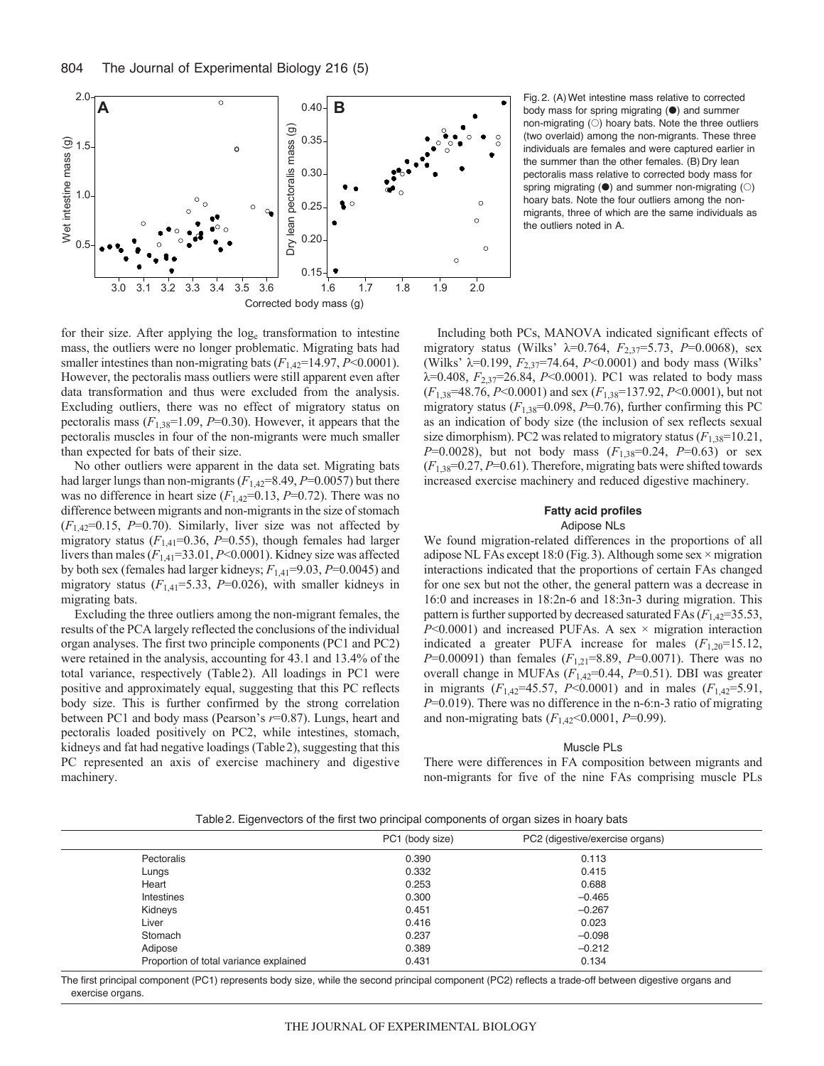

for their size. After applying the loge transformation to intestine mass, the outliers were no longer problematic. Migrating bats had smaller intestines than non-migrating bats  $(F_{1,42}=14.97, P<0.0001)$ . However, the pectoralis mass outliers were still apparent even after data transformation and thus were excluded from the analysis. Excluding outliers, there was no effect of migratory status on pectoralis mass  $(F_{1,38}=1.09, P=0.30)$ . However, it appears that the pectoralis muscles in four of the non-migrants were much smaller than expected for bats of their size.

No other outliers were apparent in the data set. Migrating bats had larger lungs than non-migrants  $(F_{1,42}=8.49, P=0.0057)$  but there was no difference in heart size  $(F_{1,42}=0.13, P=0.72)$ . There was no difference between migrants and non-migrants in the size of stomach  $(F_{1,42}=0.15, P=0.70)$ . Similarly, liver size was not affected by migratory status  $(F_{1,41} = 0.36, P = 0.55)$ , though females had larger livers than males  $(F_{1,41}=33.01, P<0.0001)$ . Kidney size was affected by both sex (females had larger kidneys;  $F_{1,41}$ =9.03,  $P$ =0.0045) and migratory status  $(F_{1,41} = 5.33, P = 0.026)$ , with smaller kidneys in migrating bats.

Excluding the three outliers among the non-migrant females, the results of the PCA largely reflected the conclusions of the individual organ analyses. The first two principle components (PC1 and PC2) were retained in the analysis, accounting for 43.1 and 13.4% of the total variance, respectively (Table2). All loadings in PC1 were positive and approximately equal, suggesting that this PC reflects body size. This is further confirmed by the strong correlation between PC1 and body mass (Pearson's *r*=0.87). Lungs, heart and pectoralis loaded positively on PC2, while intestines, stomach, kidneys and fat had negative loadings (Table2), suggesting that this PC represented an axis of exercise machinery and digestive machinery.

**B** Fig. 2. (A) Wet intestine mass relative to corrected<br> **B** Fig. 2. (A) Wet intestine mass relative to corrected body mass for spring migrating (<sup>•</sup>) and summer non-migrating  $(\bigcirc)$  hoary bats. Note the three outliers (two overlaid) among the non-migrants. These three individuals are females and were captured earlier in the summer than the other females. (B) Dry lean pectoralis mass relative to corrected body mass for spring migrating  $($ <sup>o</sup>) and summer non-migrating  $($  $\circ$ ) hoary bats. Note the four outliers among the nonmigrants, three of which are the same individuals as the outliers noted in A.

Including both PCs, MANOVA indicated significant effects of migratory status (Wilks' λ=0.764, *F*2,37=5.73, *P*=0.0068), sex (Wilks' λ=0.199, *F*2,37=74.64, *P*<0.0001) and body mass (Wilks' λ=0.408, *F*2,37=26.84, *P*<0.0001). PC1 was related to body mass (*F*1,38=48.76, *P*<0.0001) and sex (*F*1,38=137.92, *P*<0.0001), but not migratory status  $(F_{1,38} = 0.098, P = 0.76)$ , further confirming this PC as an indication of body size (the inclusion of sex reflects sexual size dimorphism). PC2 was related to migratory status  $(F_{1,38}=10.21,$ *P*=0.0028), but not body mass (*F*1,38=0.24, *P*=0.63) or sex (*F*1,38=0.27, *P*=0.61). Therefore, migrating bats were shifted towards increased exercise machinery and reduced digestive machinery.

## **Fatty acid profiles** Adipose NLs

We found migration-related differences in the proportions of all adipose NL FAs except 18:0 (Fig. 3). Although some sex  $\times$  migration interactions indicated that the proportions of certain FAs changed for one sex but not the other, the general pattern was a decrease in 16:0 and increases in 18:2n-6 and 18:3n-3 during migration. This pattern is further supported by decreased saturated FAs  $(F_{142}=35.53)$ ,  $P<0.0001$ ) and increased PUFAs. A sex  $\times$  migration interaction indicated a greater PUFA increase for males  $(F_{1,20} = 15.12)$ , *P*=0.00091) than females (*F*1,21=8.89, *P*=0.0071). There was no overall change in MUFAs (*F*1,42=0.44, *P*=0.51). DBI was greater in migrants ( $F_{1,42}$ =45.57,  $P<0.0001$ ) and in males ( $F_{1,42}$ =5.91, *P*=0.019). There was no difference in the n-6:n-3 ratio of migrating and non-migrating bats (*F*1,42<0.0001, *P*=0.99).

#### Muscle PLs

There were differences in FA composition between migrants and non-migrants for five of the nine FAs comprising muscle PLs

|                                        | PC1 (body size) | PC2 (digestive/exercise organs) |  |
|----------------------------------------|-----------------|---------------------------------|--|
| Pectoralis                             | 0.390           | 0.113                           |  |
| Lungs                                  | 0.332           | 0.415                           |  |
| Heart                                  | 0.253           | 0.688                           |  |
| Intestines                             | 0.300           | $-0.465$                        |  |
| Kidneys                                | 0.451           | $-0.267$                        |  |
| Liver                                  | 0.416           | 0.023                           |  |
| Stomach                                | 0.237           | $-0.098$                        |  |
| Adipose                                | 0.389           | $-0.212$                        |  |
| Proportion of total variance explained | 0.431           | 0.134                           |  |

Table2. Eigenvectors of the first two principal components of organ sizes in hoary bats

The first principal component (PC1) represents body size, while the second principal component (PC2) reflects a trade-off between digestive organs and exercise organs.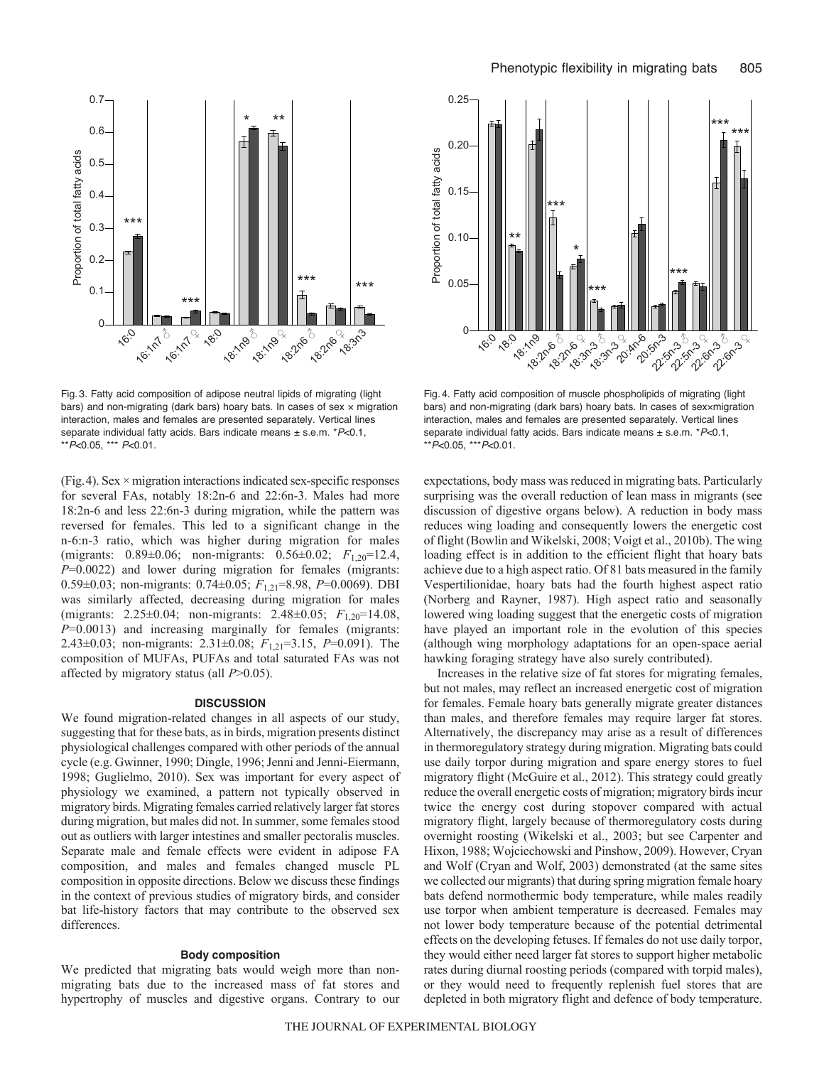

Fig. 3. Fatty acid composition of adipose neutral lipids of migrating (light bars) and non-migrating (dark bars) hoary bats. In cases of sex  $\times$  migration interaction, males and females are presented separately. Vertical lines separate individual fatty acids. Bars indicate means ± s.e.m. \**P*<0.1, \*\**P*<0.05, \*\*\* *P*<0.01.

(Fig. 4). Sex  $\times$  migration interactions indicated sex-specific responses for several FAs, notably 18:2n-6 and 22:6n-3. Males had more 18:2n-6 and less 22:6n-3 during migration, while the pattern was reversed for females. This led to a significant change in the n-6:n-3 ratio, which was higher during migration for males (migrants: 0.89±0.06; non-migrants: 0.56±0.02; *F*1,20=12.4, *P*=0.0022) and lower during migration for females (migrants: 0.59±0.03; non-migrants: 0.74±0.05; *F*1,21=8.98, *P*=0.0069). DBI was similarly affected, decreasing during migration for males (migrants: 2.25±0.04; non-migrants: 2.48±0.05; *F*1,20=14.08, *P*=0.0013) and increasing marginally for females (migrants: 2.43±0.03; non-migrants: 2.31±0.08; *F*1,21=3.15, *P*=0.091). The composition of MUFAs, PUFAs and total saturated FAs was not affected by migratory status (all *P*>0.05).

#### **DISCUSSION**

We found migration-related changes in all aspects of our study, suggesting that for these bats, as in birds, migration presents distinct physiological challenges compared with other periods of the annual cycle (e.g. Gwinner, 1990; Dingle, 1996; Jenni and Jenni-Eiermann, 1998; Guglielmo, 2010). Sex was important for every aspect of physiology we examined, a pattern not typically observed in migratory birds. Migrating females carried relatively larger fat stores during migration, but males did not. In summer, some females stood out as outliers with larger intestines and smaller pectoralis muscles. Separate male and female effects were evident in adipose FA composition, and males and females changed muscle PL composition in opposite directions. Below we discuss these findings in the context of previous studies of migratory birds, and consider bat life-history factors that may contribute to the observed sex differences.

## **Body composition**

We predicted that migrating bats would weigh more than nonmigrating bats due to the increased mass of fat stores and hypertrophy of muscles and digestive organs. Contrary to our



Fig. 4. Fatty acid composition of muscle phospholipids of migrating (light bars) and non-migrating (dark bars) hoary bats. In cases of sex×migration interaction, males and females are presented separately. Vertical lines separate individual fatty acids. Bars indicate means ± s.e.m. \**P*<0.1, \*\**P*<0.05, \*\*\**P*<0.01.

expectations, body mass was reduced in migrating bats. Particularly surprising was the overall reduction of lean mass in migrants (see discussion of digestive organs below). A reduction in body mass reduces wing loading and consequently lowers the energetic cost of flight (Bowlin and Wikelski, 2008; Voigt et al., 2010b). The wing loading effect is in addition to the efficient flight that hoary bats achieve due to a high aspect ratio. Of 81 bats measured in the family Vespertilionidae, hoary bats had the fourth highest aspect ratio (Norberg and Rayner, 1987). High aspect ratio and seasonally lowered wing loading suggest that the energetic costs of migration have played an important role in the evolution of this species (although wing morphology adaptations for an open-space aerial hawking foraging strategy have also surely contributed).

Increases in the relative size of fat stores for migrating females, but not males, may reflect an increased energetic cost of migration for females. Female hoary bats generally migrate greater distances than males, and therefore females may require larger fat stores. Alternatively, the discrepancy may arise as a result of differences in thermoregulatory strategy during migration. Migrating bats could use daily torpor during migration and spare energy stores to fuel migratory flight (McGuire et al., 2012). This strategy could greatly reduce the overall energetic costs of migration; migratory birds incur twice the energy cost during stopover compared with actual migratory flight, largely because of thermoregulatory costs during overnight roosting (Wikelski et al., 2003; but see Carpenter and Hixon, 1988; Wojciechowski and Pinshow, 2009). However, Cryan and Wolf (Cryan and Wolf, 2003) demonstrated (at the same sites we collected our migrants) that during spring migration female hoary bats defend normothermic body temperature, while males readily use torpor when ambient temperature is decreased. Females may not lower body temperature because of the potential detrimental effects on the developing fetuses. If females do not use daily torpor, they would either need larger fat stores to support higher metabolic rates during diurnal roosting periods (compared with torpid males), or they would need to frequently replenish fuel stores that are depleted in both migratory flight and defence of body temperature.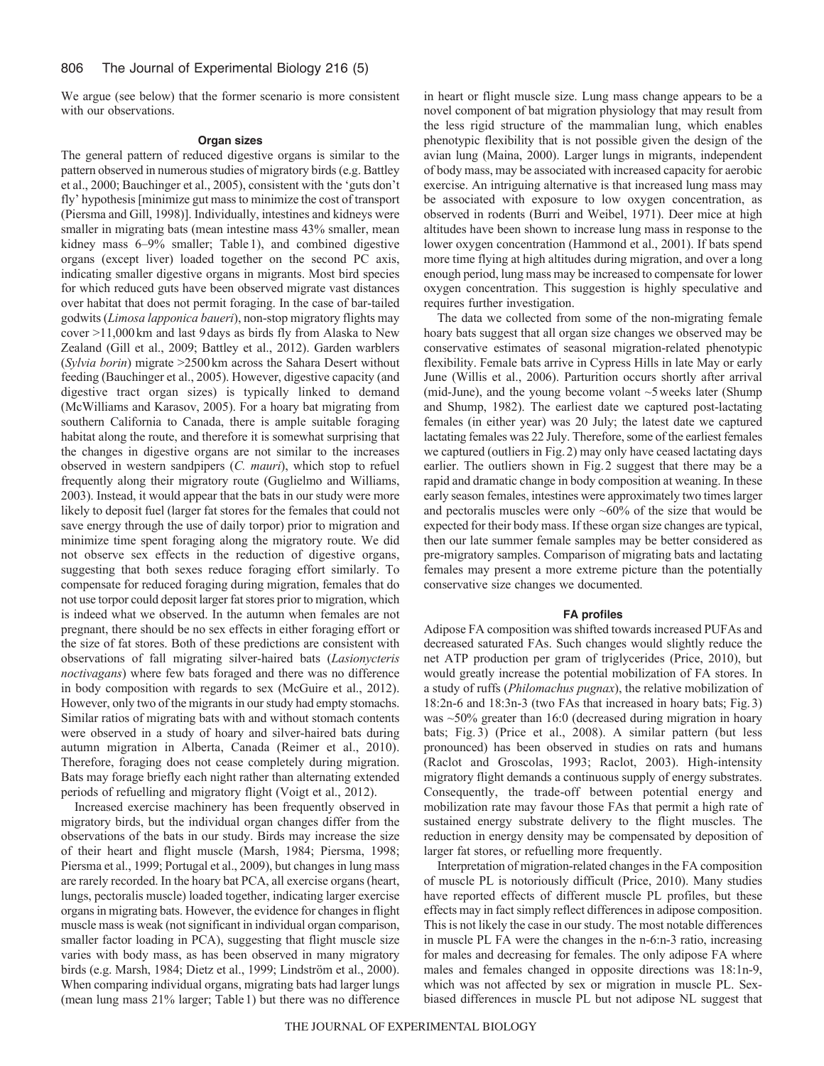We argue (see below) that the former scenario is more consistent with our observations.

#### **Organ sizes**

The general pattern of reduced digestive organs is similar to the pattern observed in numerous studies of migratory birds (e.g. Battley et al., 2000; Bauchinger et al., 2005), consistent with the 'guts don't fly' hypothesis [minimize gut mass to minimize the cost of transport (Piersma and Gill, 1998)]. Individually, intestines and kidneys were smaller in migrating bats (mean intestine mass 43% smaller, mean kidney mass 6–9% smaller; Table1), and combined digestive organs (except liver) loaded together on the second PC axis, indicating smaller digestive organs in migrants. Most bird species for which reduced guts have been observed migrate vast distances over habitat that does not permit foraging. In the case of bar-tailed godwits (*Limosa lapponica baueri*), non-stop migratory flights may cover >11,000km and last 9days as birds fly from Alaska to New Zealand (Gill et al., 2009; Battley et al., 2012). Garden warblers (*Sylvia borin*) migrate >2500km across the Sahara Desert without feeding (Bauchinger et al., 2005). However, digestive capacity (and digestive tract organ sizes) is typically linked to demand (McWilliams and Karasov, 2005). For a hoary bat migrating from southern California to Canada, there is ample suitable foraging habitat along the route, and therefore it is somewhat surprising that the changes in digestive organs are not similar to the increases observed in western sandpipers (*C. mauri*), which stop to refuel frequently along their migratory route (Guglielmo and Williams, 2003). Instead, it would appear that the bats in our study were more likely to deposit fuel (larger fat stores for the females that could not save energy through the use of daily torpor) prior to migration and minimize time spent foraging along the migratory route. We did not observe sex effects in the reduction of digestive organs, suggesting that both sexes reduce foraging effort similarly. To compensate for reduced foraging during migration, females that do not use torpor could deposit larger fat stores prior to migration, which is indeed what we observed. In the autumn when females are not pregnant, there should be no sex effects in either foraging effort or the size of fat stores. Both of these predictions are consistent with observations of fall migrating silver-haired bats (*Lasionycteris noctivagans*) where few bats foraged and there was no difference in body composition with regards to sex (McGuire et al., 2012). However, only two of the migrants in our study had empty stomachs. Similar ratios of migrating bats with and without stomach contents were observed in a study of hoary and silver-haired bats during autumn migration in Alberta, Canada (Reimer et al., 2010). Therefore, foraging does not cease completely during migration. Bats may forage briefly each night rather than alternating extended periods of refuelling and migratory flight (Voigt et al., 2012).

Increased exercise machinery has been frequently observed in migratory birds, but the individual organ changes differ from the observations of the bats in our study. Birds may increase the size of their heart and flight muscle (Marsh, 1984; Piersma, 1998; Piersma et al., 1999; Portugal et al., 2009), but changes in lung mass are rarely recorded. In the hoary bat PCA, all exercise organs (heart, lungs, pectoralis muscle) loaded together, indicating larger exercise organs in migrating bats. However, the evidence for changes in flight muscle mass is weak (not significant in individual organ comparison, smaller factor loading in PCA), suggesting that flight muscle size varies with body mass, as has been observed in many migratory birds (e.g. Marsh, 1984; Dietz et al., 1999; Lindström et al., 2000). When comparing individual organs, migrating bats had larger lungs (mean lung mass 21% larger; Table1) but there was no difference

in heart or flight muscle size. Lung mass change appears to be a novel component of bat migration physiology that may result from the less rigid structure of the mammalian lung, which enables phenotypic flexibility that is not possible given the design of the avian lung (Maina, 2000). Larger lungs in migrants, independent of body mass, may be associated with increased capacity for aerobic exercise. An intriguing alternative is that increased lung mass may be associated with exposure to low oxygen concentration, as observed in rodents (Burri and Weibel, 1971). Deer mice at high altitudes have been shown to increase lung mass in response to the lower oxygen concentration (Hammond et al., 2001). If bats spend more time flying at high altitudes during migration, and over a long enough period, lung mass may be increased to compensate for lower oxygen concentration. This suggestion is highly speculative and requires further investigation.

The data we collected from some of the non-migrating female hoary bats suggest that all organ size changes we observed may be conservative estimates of seasonal migration-related phenotypic flexibility. Female bats arrive in Cypress Hills in late May or early June (Willis et al., 2006). Parturition occurs shortly after arrival (mid-June), and the young become volant ~5weeks later (Shump and Shump, 1982). The earliest date we captured post-lactating females (in either year) was 20 July; the latest date we captured lactating females was 22 July. Therefore, some of the earliest females we captured (outliers in Fig.2) may only have ceased lactating days earlier. The outliers shown in Fig.2 suggest that there may be a rapid and dramatic change in body composition at weaning. In these early season females, intestines were approximately two times larger and pectoralis muscles were only ~60% of the size that would be expected for their body mass. If these organ size changes are typical, then our late summer female samples may be better considered as pre-migratory samples. Comparison of migrating bats and lactating females may present a more extreme picture than the potentially conservative size changes we documented.

## **FA profiles**

Adipose FA composition was shifted towards increased PUFAs and decreased saturated FAs. Such changes would slightly reduce the net ATP production per gram of triglycerides (Price, 2010), but would greatly increase the potential mobilization of FA stores. In a study of ruffs (*Philomachus pugnax*), the relative mobilization of 18:2n-6 and 18:3n-3 (two FAs that increased in hoary bats; Fig.3) was ~50% greater than 16:0 (decreased during migration in hoary bats; Fig. 3) (Price et al., 2008). A similar pattern (but less pronounced) has been observed in studies on rats and humans (Raclot and Groscolas, 1993; Raclot, 2003). High-intensity migratory flight demands a continuous supply of energy substrates. Consequently, the trade-off between potential energy and mobilization rate may favour those FAs that permit a high rate of sustained energy substrate delivery to the flight muscles. The reduction in energy density may be compensated by deposition of larger fat stores, or refuelling more frequently.

Interpretation of migration-related changes in the FA composition of muscle PL is notoriously difficult (Price, 2010). Many studies have reported effects of different muscle PL profiles, but these effects may in fact simply reflect differences in adipose composition. This is not likely the case in our study. The most notable differences in muscle PL FA were the changes in the n-6:n-3 ratio, increasing for males and decreasing for females. The only adipose FA where males and females changed in opposite directions was 18:1n-9, which was not affected by sex or migration in muscle PL. Sexbiased differences in muscle PL but not adipose NL suggest that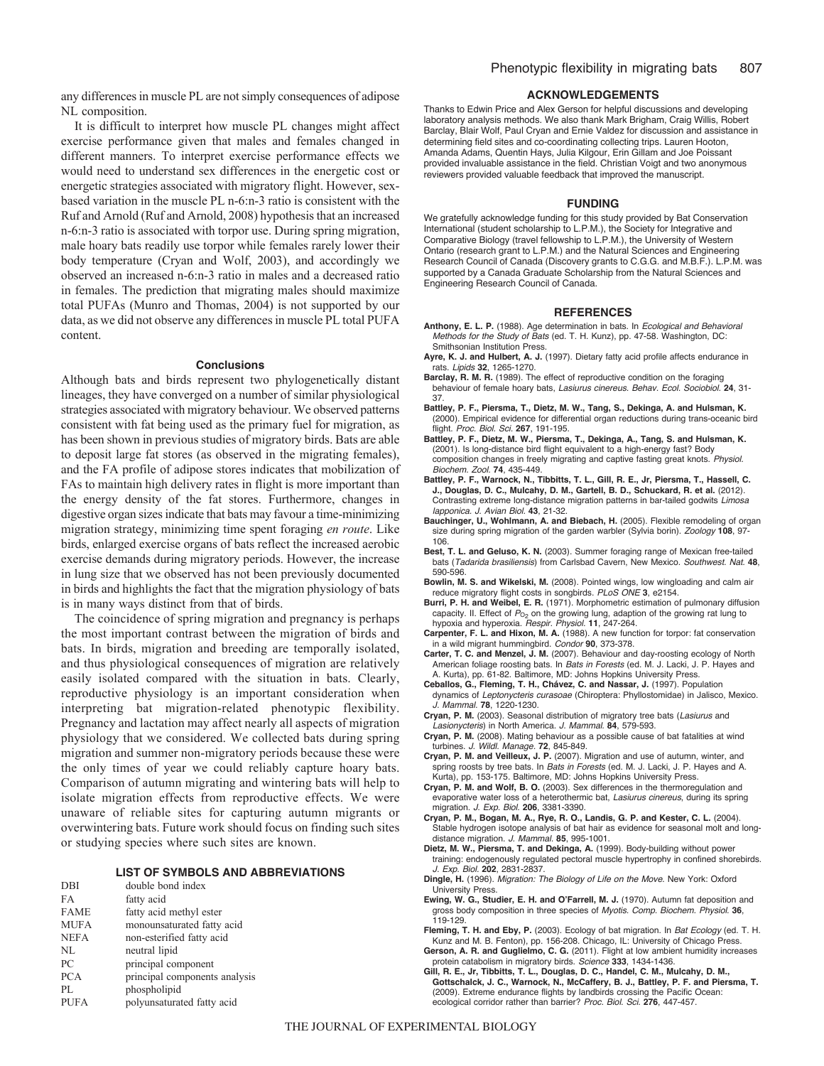It is difficult to interpret how muscle PL changes might affect exercise performance given that males and females changed in different manners. To interpret exercise performance effects we would need to understand sex differences in the energetic cost or energetic strategies associated with migratory flight. However, sexbased variation in the muscle PL n-6:n-3 ratio is consistent with the Ruf and Arnold (Ruf and Arnold, 2008) hypothesis that an increased n-6:n-3 ratio is associated with torpor use. During spring migration, male hoary bats readily use torpor while females rarely lower their body temperature (Cryan and Wolf, 2003), and accordingly we observed an increased n-6:n-3 ratio in males and a decreased ratio in females. The prediction that migrating males should maximize total PUFAs (Munro and Thomas, 2004) is not supported by our data, as we did not observe any differences in muscle PL total PUFA content.

#### **Conclusions**

Although bats and birds represent two phylogenetically distant lineages, they have converged on a number of similar physiological strategies associated with migratory behaviour. We observed patterns consistent with fat being used as the primary fuel for migration, as has been shown in previous studies of migratory birds. Bats are able to deposit large fat stores (as observed in the migrating females), and the FA profile of adipose stores indicates that mobilization of FAs to maintain high delivery rates in flight is more important than the energy density of the fat stores. Furthermore, changes in digestive organ sizes indicate that bats may favour a time-minimizing migration strategy, minimizing time spent foraging *en route*. Like birds, enlarged exercise organs of bats reflect the increased aerobic exercise demands during migratory periods. However, the increase in lung size that we observed has not been previously documented in birds and highlights the fact that the migration physiology of bats is in many ways distinct from that of birds.

The coincidence of spring migration and pregnancy is perhaps the most important contrast between the migration of birds and bats. In birds, migration and breeding are temporally isolated, and thus physiological consequences of migration are relatively easily isolated compared with the situation in bats. Clearly, reproductive physiology is an important consideration when interpreting bat migration-related phenotypic flexibility. Pregnancy and lactation may affect nearly all aspects of migration physiology that we considered. We collected bats during spring migration and summer non-migratory periods because these were the only times of year we could reliably capture hoary bats. Comparison of autumn migrating and wintering bats will help to isolate migration effects from reproductive effects. We were unaware of reliable sites for capturing autumn migrants or overwintering bats. Future work should focus on finding such sites or studying species where such sites are known.

#### **LIST OF SYMBOLS AND ABBREVIATIONS**

| DBI         | double bond index             |
|-------------|-------------------------------|
| FA          | fatty acid                    |
| <b>FAME</b> | fatty acid methyl ester       |
| <b>MUFA</b> | monounsaturated fatty acid    |
| <b>NEFA</b> | non-esterified fatty acid     |
| NL          | neutral lipid                 |
| PC          | principal component           |
| <b>PCA</b>  | principal components analysis |
| PL.         | phospholipid                  |
| <b>PUFA</b> | polyunsaturated fatty acid    |

#### **ACKNOWLEDGEMENTS**

Thanks to Edwin Price and Alex Gerson for helpful discussions and developing laboratory analysis methods. We also thank Mark Brigham, Craig Willis, Robert Barclay, Blair Wolf, Paul Cryan and Ernie Valdez for discussion and assistance in determining field sites and co-coordinating collecting trips. Lauren Hooton, Amanda Adams, Quentin Hays, Julia Kilgour, Erin Gillam and Joe Poissant provided invaluable assistance in the field. Christian Voigt and two anonymous reviewers provided valuable feedback that improved the manuscript.

#### **FUNDING**

We gratefully acknowledge funding for this study provided by Bat Conservation International (student scholarship to L.P.M.), the Society for Integrative and Comparative Biology (travel fellowship to L.P.M.), the University of Western Ontario (research grant to L.P.M.) and the Natural Sciences and Engineering Research Council of Canada (Discovery grants to C.G.G. and M.B.F.). L.P.M. was supported by a Canada Graduate Scholarship from the Natural Sciences and Engineering Research Council of Canada.

#### **REFERENCES**

- **Anthony, E. L. P.** (1988). Age determination in bats. In *Ecological and Behavioral Methods for the Study of Bats* (ed. T. H. Kunz), pp. 47-58. Washington, DC: Smithsonian Institution Press.
- **Ayre, K. J. and Hulbert, A. J.** (1997). Dietary fatty acid profile affects endurance in rats. *Lipids* **32**, 1265-1270.
- **Barclay, R. M. R.** (1989). The effect of reproductive condition on the foraging behaviour of female hoary bats, *Lasiurus cinereus. Behav. Ecol. Sociobiol.* **24**, 31- 37.
- **Battley, P. F., Piersma, T., Dietz, M. W., Tang, S., Dekinga, A. and Hulsman, K.** (2000). Empirical evidence for differential organ reductions during trans-oceanic bird flight. *Proc. Biol. Sci.* **267**, 191-195.
- **Battley, P. F., Dietz, M. W., Piersma, T., Dekinga, A., Tang, S. and Hulsman, K.** (2001). Is long-distance bird flight equivalent to a high-energy fast? Body composition changes in freely migrating and captive fasting great knots. *Physiol. Biochem. Zool.* **74**, 435-449.
- **Battley, P. F., Warnock, N., Tibbitts, T. L., Gill, R. E., Jr, Piersma, T., Hassell, C. J., Douglas, D. C., Mulcahy, D. M., Gartell, B. D., Schuckard, R. et al.** (2012). Contrasting extreme long-distance migration patterns in bar-tailed godwits *Limosa lapponica. J. Avian Biol.* **43**, 21-32.
- **Bauchinger, U., Wohlmann, A. and Biebach, H.** (2005). Flexible remodeling of organ size during spring migration of the garden warbler (Sylvia borin). *Zoology* **108**, 97- 106.
- **Best, T. L. and Geluso, K. N.** (2003). Summer foraging range of Mexican free-tailed bats (*Tadarida brasiliensis*) from Carlsbad Cavern, New Mexico. *Southwest. Nat.* **48**, 590-596.
- **Bowlin, M. S. and Wikelski, M.** (2008). Pointed wings, low wingloading and calm air reduce migratory flight costs in songbirds. *PLoS ONE* **3**, e2154.
- **Burri, P. H. and Weibel, E. R.** (1971). Morphometric estimation of pulmonary diffusion capacity. II. Effect of  $P_{\text{O}_2}$  on the growing lung, adaption of the growing rat lung to hypoxia and hyperoxia. *Respir. Physiol.* **11**, 247-264.
- **Carpenter, F. L. and Hixon, M. A.** (1988). A new function for torpor: fat conservation in a wild migrant hummingbird. *Condor* **90**, 373-378.
- **Carter, T. C. and Menzel, J. M.** (2007). Behaviour and day-roosting ecology of North American foliage roosting bats. In *Bats in Forests* (ed. M. J. Lacki, J. P. Hayes and A. Kurta), pp. 61-82. Baltimore, MD: Johns Hopkins University Press.
- **Ceballos, G., Fleming, T. H., Chávez, C. and Nassar, J.** (1997). Population dynamics of *Leptonycteris curasoae* (Chiroptera: Phyllostomidae) in Jalisco, Mexico. *J. Mammal.* **78**, 1220-1230.
- **Cryan, P. M.** (2003). Seasonal distribution of migratory tree bats (*Lasiurus* and *Lasionycteris*) in North America. *J. Mammal.* **84**, 579-593.
- **Cryan, P. M.** (2008). Mating behaviour as a possible cause of bat fatalities at wind turbines. *J. Wildl. Manage.* **72**, 845-849.
- **Cryan, P. M. and Veilleux, J. P.** (2007). Migration and use of autumn, winter, and spring roosts by tree bats. In *Bats in Forests* (ed. M. J. Lacki, J. P. Hayes and A. Kurta), pp. 153-175. Baltimore, MD: Johns Hopkins University Press.
- **Cryan, P. M. and Wolf, B. O.** (2003). Sex differences in the thermoregulation and evaporative water loss of a heterothermic bat, *Lasiurus cinereus*, during its spring migration. *J. Exp. Biol.* **206**, 3381-3390.
- **Cryan, P. M., Bogan, M. A., Rye, R. O., Landis, G. P. and Kester, C. L.** (2004). Stable hydrogen isotope analysis of bat hair as evidence for seasonal molt and longdistance migration. *J. Mammal.* **85**, 995-1001.
- **Dietz, M. W., Piersma, T. and Dekinga, A.** (1999). Body-building without power training: endogenously regulated pectoral muscle hypertrophy in confined shorebirds. *J. Exp. Biol.* **202**, 2831-2837.
- **Dingle, H.** (1996). *Migration: The Biology of Life on the Move*. New York: Oxford University Press.
- **Ewing, W. G., Studier, E. H. and O'Farrell, M. J.** (1970). Autumn fat deposition and gross body composition in three species of *Myotis. Comp. Biochem. Physiol.* **36**, 119-129.
- **Fleming, T. H. and Eby, P.** (2003). Ecology of bat migration. In *Bat Ecology* (ed. T. H. Kunz and M. B. Fenton), pp. 156-208. Chicago, IL: University of Chicago Press.
- **Gerson, A. R. and Guglielmo, C. G.** (2011). Flight at low ambient humidity increases protein catabolism in migratory birds. *Science* **333**, 1434-1436.
- **Gill, R. E., Jr, Tibbitts, T. L., Douglas, D. C., Handel, C. M., Mulcahy, D. M., Gottschalck, J. C., Warnock, N., McCaffery, B. J., Battley, P. F. and Piersma, T.** (2009). Extreme endurance flights by landbirds crossing the Pacific Ocean: ecological corridor rather than barrier? *Proc. Biol. Sci.* **276**, 447-457.